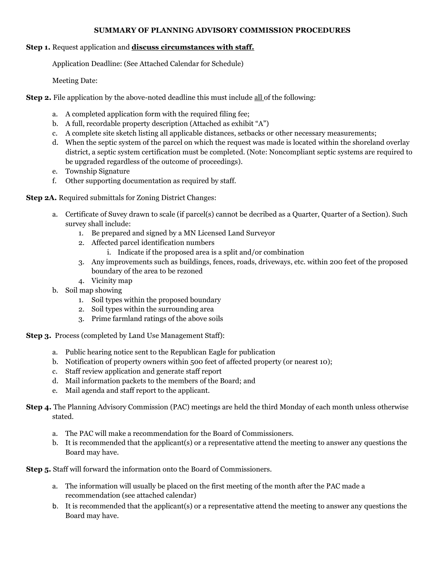#### **SUMMARY OF PLANNING ADVISORY COMMISSION PROCEDURES**

### **Step 1.** Request application and **discuss circumstances with staff.**

Application Deadline: (See Attached Calendar for Schedule)

Meeting Date:

**Step 2.** File application by the above-noted deadline this must include all of the following:

- a. A completed application form with the required filing fee;
- b. A full, recordable property description (Attached as exhibit "A")
- c. A complete site sketch listing all applicable distances, setbacks or other necessary measurements;
- d. When the septic system of the parcel on which the request was made is located within the shoreland overlay district, a septic system certification must be completed. (Note: Noncompliant septic systems are required to be upgraded regardless of the outcome of proceedings).
- e. Township Signature
- f. Other supporting documentation as required by staff.

**Step 2A.** Required submittals for Zoning District Changes:

- a. Certificate of Suvey drawn to scale (if parcel(s) cannot be decribed as a Quarter, Quarter of a Section). Such survey shall include:
	- 1. Be prepared and signed by a MN Licensed Land Surveyor
	- 2. Affected parcel identification numbers
		- i. Indicate if the proposed area is a split and/or combination
	- 3. Any improvements such as buildings, fences, roads, driveways, etc. within 200 feet of the proposed boundary of the area to be rezoned
	- 4. Vicinity map
- b. Soil map showing
	- 1. Soil types within the proposed boundary
	- 2. Soil types within the surrounding area
	- 3. Prime farmland ratings of the above soils

**Step 3.** Process (completed by Land Use Management Staff):

- a. Public hearing notice sent to the Republican Eagle for publication
- b. Notification of property owners within 500 feet of affected property (or nearest 10);
- c. Staff review application and generate staff report
- d. Mail information packets to the members of the Board; and
- e. Mail agenda and staff report to the applicant.
- **Step 4.** The Planning Advisory Commission (PAC) meetings are held the third Monday of each month unless otherwise stated.
	- a. The PAC will make a recommendation for the Board of Commissioners.
	- b. It is recommended that the applicant(s) or a representative attend the meeting to answer any questions the Board may have.

**Step 5.** Staff will forward the information onto the Board of Commissioners.

- a. The information will usually be placed on the first meeting of the month after the PAC made a recommendation (see attached calendar)
- b. It is recommended that the applicant(s) or a representative attend the meeting to answer any questions the Board may have.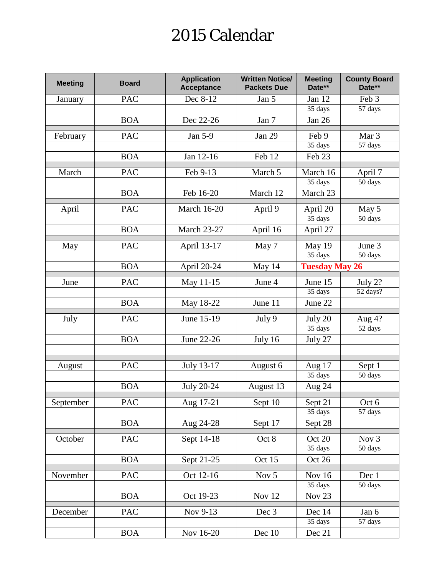# 2015 Calendar

| <b>Meeting</b> | <b>Board</b> | <b>Application</b><br><b>Acceptance</b> | <b>Written Notice/</b><br><b>Packets Due</b> | <b>Meeting</b><br>Date** | <b>County Board</b><br>Date** |  |
|----------------|--------------|-----------------------------------------|----------------------------------------------|--------------------------|-------------------------------|--|
| January        | <b>PAC</b>   | Dec 8-12                                | Jan 5                                        | Jan 12                   | Feb 3                         |  |
|                |              |                                         |                                              | 35 days                  | 57 days                       |  |
|                | <b>BOA</b>   | Dec 22-26                               | Jan 7                                        | Jan 26                   |                               |  |
| February       | <b>PAC</b>   | Jan 5-9                                 | <b>Jan 29</b>                                | Feb 9                    | Mar <sub>3</sub>              |  |
|                |              |                                         |                                              | 35 days                  | 57 days                       |  |
|                | <b>BOA</b>   | Jan 12-16                               | Feb 12                                       | Feb 23                   |                               |  |
| March          | <b>PAC</b>   | Feb 9-13                                | March 5                                      | March 16                 | April 7                       |  |
|                |              |                                         |                                              | 35 days                  | 50 days                       |  |
|                | <b>BOA</b>   | Feb 16-20                               | March 12                                     | March 23                 |                               |  |
| April          | <b>PAC</b>   | <b>March 16-20</b>                      | April 9                                      | April 20                 | May 5                         |  |
|                |              |                                         |                                              | 35 days                  | 50 days                       |  |
|                | <b>BOA</b>   | <b>March 23-27</b>                      | April 16                                     | April 27                 |                               |  |
| May            | <b>PAC</b>   | April 13-17                             | May 7                                        | May 19                   | June 3                        |  |
|                |              |                                         |                                              | 35 days                  | 50 days                       |  |
|                | <b>BOA</b>   | April 20-24                             | May 14                                       | <b>Tuesday May 26</b>    |                               |  |
| June           | <b>PAC</b>   | May 11-15                               | June 4                                       | June 15                  | July 2?                       |  |
|                |              |                                         |                                              | 35 days                  | 52 days?                      |  |
|                | <b>BOA</b>   | May 18-22                               | June 11                                      | June 22                  |                               |  |
| July           | <b>PAC</b>   | June 15-19                              | July 9                                       | July 20                  | Aug $4?$                      |  |
|                |              |                                         |                                              | 35 days                  | 52 days                       |  |
|                | <b>BOA</b>   | June 22-26                              | July 16                                      | July 27                  |                               |  |
|                |              |                                         |                                              |                          |                               |  |
| August         | <b>PAC</b>   | July 13-17                              | August 6                                     | Aug 17                   | Sept 1                        |  |
|                |              |                                         |                                              | 35 days                  | 50 days                       |  |
|                | <b>BOA</b>   | July 20-24                              | August 13                                    | Aug 24                   |                               |  |
| September      | PAC          | Aug 17-21                               | Sept 10                                      | Sept $21$                | Oct 6                         |  |
|                |              |                                         |                                              | 35 days                  | 57 days                       |  |
|                | <b>BOA</b>   | Aug 24-28                               | Sept 17                                      | Sept 28                  |                               |  |
| October        | <b>PAC</b>   | Sept 14-18                              | Oct 8                                        | Oct 20                   | Nov <sub>3</sub>              |  |
|                |              |                                         |                                              | $\overline{35}$ days     | 50 days                       |  |
|                | <b>BOA</b>   | Sept 21-25                              | Oct 15                                       | Oct 26                   |                               |  |
| November       | <b>PAC</b>   | Oct 12-16                               | Nov 5                                        | Nov 16                   | Dec 1                         |  |
|                |              |                                         |                                              | 35 days                  | 50 days                       |  |
|                | <b>BOA</b>   | Oct 19-23                               | Nov 12                                       | Nov <sub>23</sub>        |                               |  |
| December       | <b>PAC</b>   | Nov 9-13                                | Dec 3                                        | Dec 14                   | Jan 6                         |  |
|                |              |                                         |                                              | 35 days                  | 57 days                       |  |
|                | <b>BOA</b>   | Nov 16-20                               | Dec 10                                       | Dec 21                   |                               |  |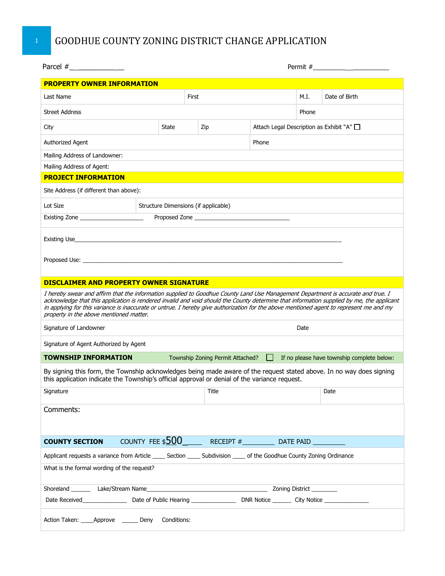## **1** GOODHUE COUNTY ZONING DISTRICT CHANGE APPLICATION

| <b>PROPERTY OWNER INFORMATION</b>                                                                                                                                                                                                                                                                                                                                                                                                                                   |                                      |                                  |                             |       |       |                                         |                                            |  |  |  |  |
|---------------------------------------------------------------------------------------------------------------------------------------------------------------------------------------------------------------------------------------------------------------------------------------------------------------------------------------------------------------------------------------------------------------------------------------------------------------------|--------------------------------------|----------------------------------|-----------------------------|-------|-------|-----------------------------------------|--------------------------------------------|--|--|--|--|
| Last Name                                                                                                                                                                                                                                                                                                                                                                                                                                                           |                                      | First                            |                             |       |       | M.I.                                    | Date of Birth                              |  |  |  |  |
| <b>Street Address</b>                                                                                                                                                                                                                                                                                                                                                                                                                                               |                                      |                                  |                             |       | Phone |                                         |                                            |  |  |  |  |
| City                                                                                                                                                                                                                                                                                                                                                                                                                                                                |                                      | State<br>Zip                     |                             |       |       | Attach Legal Description as Exhibit "A" |                                            |  |  |  |  |
| Authorized Agent                                                                                                                                                                                                                                                                                                                                                                                                                                                    |                                      |                                  |                             | Phone |       |                                         |                                            |  |  |  |  |
| Mailing Address of Landowner:                                                                                                                                                                                                                                                                                                                                                                                                                                       |                                      |                                  |                             |       |       |                                         |                                            |  |  |  |  |
| Mailing Address of Agent:                                                                                                                                                                                                                                                                                                                                                                                                                                           |                                      |                                  |                             |       |       |                                         |                                            |  |  |  |  |
| <b>PROJECT INFORMATION</b>                                                                                                                                                                                                                                                                                                                                                                                                                                          |                                      |                                  |                             |       |       |                                         |                                            |  |  |  |  |
| Site Address (if different than above):                                                                                                                                                                                                                                                                                                                                                                                                                             |                                      |                                  |                             |       |       |                                         |                                            |  |  |  |  |
| Lot Size                                                                                                                                                                                                                                                                                                                                                                                                                                                            | Structure Dimensions (if applicable) |                                  |                             |       |       |                                         |                                            |  |  |  |  |
| Existing Zone _______________________                                                                                                                                                                                                                                                                                                                                                                                                                               |                                      |                                  |                             |       |       |                                         |                                            |  |  |  |  |
|                                                                                                                                                                                                                                                                                                                                                                                                                                                                     |                                      |                                  |                             |       |       |                                         |                                            |  |  |  |  |
|                                                                                                                                                                                                                                                                                                                                                                                                                                                                     |                                      |                                  |                             |       |       |                                         |                                            |  |  |  |  |
| <b>DISCLAIMER AND PROPERTY OWNER SIGNATURE</b>                                                                                                                                                                                                                                                                                                                                                                                                                      |                                      |                                  |                             |       |       |                                         |                                            |  |  |  |  |
| I hereby swear and affirm that the information supplied to Goodhue County Land Use Management Department is accurate and true. I<br>acknowledge that this application is rendered invalid and void should the County determine that information supplied by me, the applicant<br>in applying for this variance is inaccurate or untrue. I hereby give authorization for the above mentioned agent to represent me and my<br>property in the above mentioned matter. |                                      |                                  |                             |       |       |                                         |                                            |  |  |  |  |
| Signature of Landowner                                                                                                                                                                                                                                                                                                                                                                                                                                              |                                      | Date                             |                             |       |       |                                         |                                            |  |  |  |  |
| Signature of Agent Authorized by Agent                                                                                                                                                                                                                                                                                                                                                                                                                              |                                      |                                  |                             |       |       |                                         |                                            |  |  |  |  |
| <b>TOWNSHIP INFORMATION</b>                                                                                                                                                                                                                                                                                                                                                                                                                                         |                                      | Township Zoning Permit Attached? |                             |       |       |                                         | If no please have township complete below: |  |  |  |  |
| By signing this form, the Township acknowledges being made aware of the request stated above. In no way does signing<br>this application indicate the Township's official approval or denial of the variance request.                                                                                                                                                                                                                                               |                                      |                                  |                             |       |       |                                         |                                            |  |  |  |  |
| Signature                                                                                                                                                                                                                                                                                                                                                                                                                                                           |                                      |                                  | Title                       |       |       |                                         | Date                                       |  |  |  |  |
| Comments:                                                                                                                                                                                                                                                                                                                                                                                                                                                           |                                      |                                  |                             |       |       |                                         |                                            |  |  |  |  |
| <b>COUNTY SECTION</b>                                                                                                                                                                                                                                                                                                                                                                                                                                               |                                      |                                  | COUNTY FEE $$500$ RECEIPT # |       |       |                                         |                                            |  |  |  |  |
| Applicant requests a variance from Article _____ Section _____ Subdivision _____ of the Goodhue County Zoning Ordinance                                                                                                                                                                                                                                                                                                                                             |                                      |                                  |                             |       |       |                                         |                                            |  |  |  |  |
| What is the formal wording of the request?                                                                                                                                                                                                                                                                                                                                                                                                                          |                                      |                                  |                             |       |       |                                         |                                            |  |  |  |  |
|                                                                                                                                                                                                                                                                                                                                                                                                                                                                     |                                      |                                  |                             |       |       |                                         |                                            |  |  |  |  |
|                                                                                                                                                                                                                                                                                                                                                                                                                                                                     |                                      |                                  |                             |       |       |                                         |                                            |  |  |  |  |
| Action Taken: _____Approve _______ Deny                                                                                                                                                                                                                                                                                                                                                                                                                             |                                      | Conditions:                      |                             |       |       |                                         |                                            |  |  |  |  |